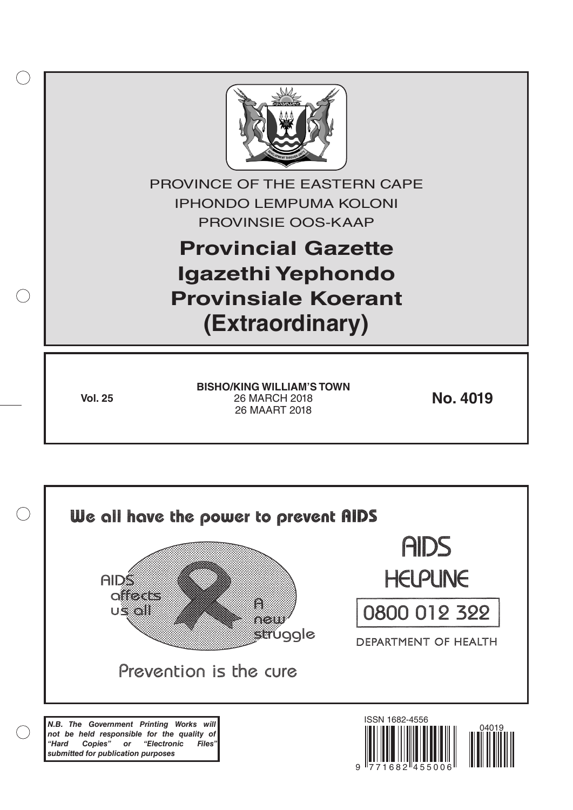

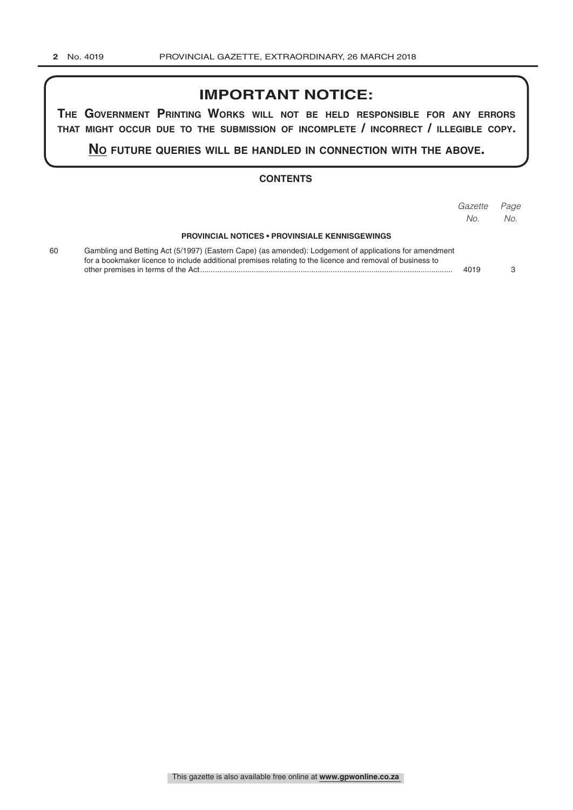# **IMPORTANT NOTICE:**

**The GovernmenT PrinTinG Works Will noT be held resPonsible for any errors ThaT miGhT occur due To The submission of incomPleTe / incorrecT / illeGible coPy.**

**no fuTure queries Will be handled in connecTion WiTh The above.**

#### **CONTENTS**

|    |                                                                                                                                                                                                                     | Gazette<br>No. | Page<br>No. |
|----|---------------------------------------------------------------------------------------------------------------------------------------------------------------------------------------------------------------------|----------------|-------------|
|    | <b>PROVINCIAL NOTICES • PROVINSIALE KENNISGEWINGS</b>                                                                                                                                                               |                |             |
| 60 | Gambling and Betting Act (5/1997) (Eastern Cape) (as amended): Lodgement of applications for amendment<br>for a bookmaker licence to include additional premises relating to the licence and removal of business to | 4019           |             |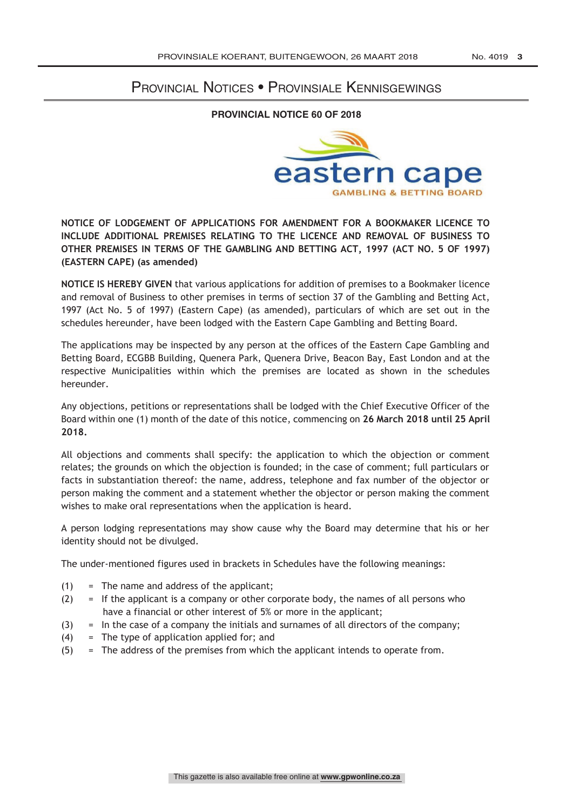## Provincial Notices • Provinsiale Kennisgewings

### **PROVINCIAL NOTICE 60 OF 2018**



**NOTICE OF LODGEMENT OF APPLICATIONS FOR AMENDMENT FOR A BOOKMAKER LICENCE TO INCLUDE ADDITIONAL PREMISES RELATING TO THE LICENCE AND REMOVAL OF BUSINESS TO OTHER PREMISES IN TERMS OF THE GAMBLING AND BETTING ACT, 1997 (ACT NO. 5 OF 1997) (EASTERN CAPE) (as amended)** 

**NOTICE IS HEREBY GIVEN** that various applications for addition of premises to a Bookmaker licence and removal of Business to other premises in terms of section 37 of the Gambling and Betting Act, 1997 (Act No. 5 of 1997) (Eastern Cape) (as amended), particulars of which are set out in the schedules hereunder, have been lodged with the Eastern Cape Gambling and Betting Board.

The applications may be inspected by any person at the offices of the Eastern Cape Gambling and Betting Board, ECGBB Building, Quenera Park, Quenera Drive, Beacon Bay, East London and at the respective Municipalities within which the premises are located as shown in the schedules hereunder.

Any objections, petitions or representations shall be lodged with the Chief Executive Officer of the Board within one (1) month of the date of this notice, commencing on **26 March 2018 until 25 April 2018.**

All objections and comments shall specify: the application to which the objection or comment relates; the grounds on which the objection is founded; in the case of comment; full particulars or facts in substantiation thereof: the name, address, telephone and fax number of the objector or person making the comment and a statement whether the objector or person making the comment wishes to make oral representations when the application is heard.

A person lodging representations may show cause why the Board may determine that his or her identity should not be divulged.

The under-mentioned figures used in brackets in Schedules have the following meanings:

- (1) = The name and address of the applicant;
- $(2)$  = If the applicant is a company or other corporate body, the names of all persons who have a financial or other interest of 5% or more in the applicant;
- (3) = In the case of a company the initials and surnames of all directors of the company;
- (4) = The type of application applied for; and
- (5) = The address of the premises from which the applicant intends to operate from.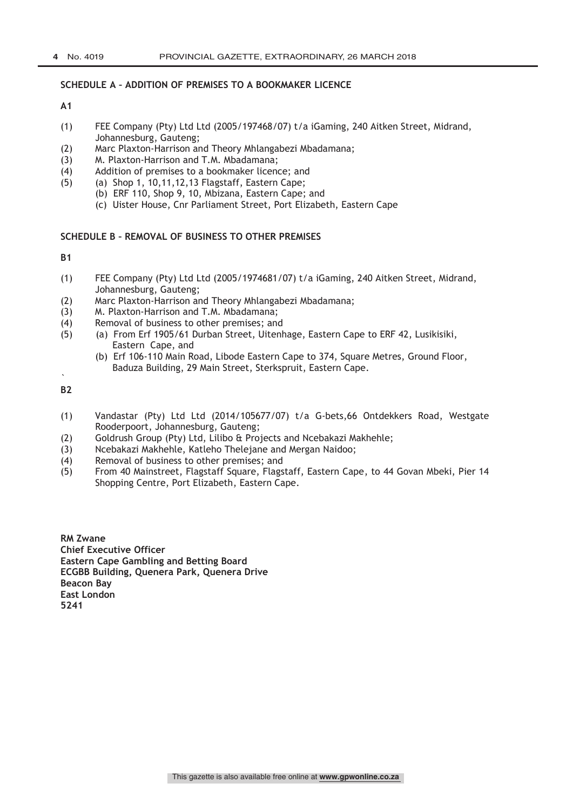#### **SCHEDULE A – ADDITION OF PREMISES TO A BOOKMAKER LICENCE**

#### **A1**

- (1) FEE Company (Pty) Ltd Ltd (2005/197468/07) t/a iGaming, 240 Aitken Street, Midrand, Johannesburg, Gauteng;
- (2) Marc Plaxton-Harrison and Theory Mhlangabezi Mbadamana;
- (3) M. Plaxton-Harrison and T.M. Mbadamana;
- (4) Addition of premises to a bookmaker licence; and
- (5) (a) Shop 1, 10,11,12,13 Flagstaff, Eastern Cape;
	- (b) ERF 110, Shop 9, 10, Mbizana, Eastern Cape; and
		- (c) Uister House, Cnr Parliament Street, Port Elizabeth, Eastern Cape

#### **SCHEDULE B – REMOVAL OF BUSINESS TO OTHER PREMISES**

#### **B1**

- (1) FEE Company (Pty) Ltd Ltd (2005/1974681/07) t/a iGaming, 240 Aitken Street, Midrand, Johannesburg, Gauteng;
- (2) Marc Plaxton-Harrison and Theory Mhlangabezi Mbadamana;
- (3) M. Plaxton-Harrison and T.M. Mbadamana;
- (4) Removal of business to other premises; and
- (5) (a) From Erf 1905/61 Durban Street, Uitenhage, Eastern Cape to ERF 42, Lusikisiki, Eastern Cape, and
	- (b) Erf 106-110 Main Road, Libode Eastern Cape to 374, Square Metres, Ground Floor, Baduza Building, 29 Main Street, Sterkspruit, Eastern Cape.

#### ` **B2**

- (1) Vandastar (Pty) Ltd Ltd (2014/105677/07) t/a G-bets,66 Ontdekkers Road, Westgate Rooderpoort, Johannesburg, Gauteng;
- (2) Goldrush Group (Pty) Ltd, Lilibo & Projects and Ncebakazi Makhehle;
- (3) Ncebakazi Makhehle, Katleho Thelejane and Mergan Naidoo;
- (4) Removal of business to other premises; and
- (5) From 40 Mainstreet, Flagstaff Square, Flagstaff, Eastern Cape, to 44 Govan Mbeki, Pier 14 Shopping Centre, Port Elizabeth, Eastern Cape.

**RM Zwane Chief Executive Officer Eastern Cape Gambling and Betting Board ECGBB Building, Quenera Park, Quenera Drive Beacon Bay East London 5241**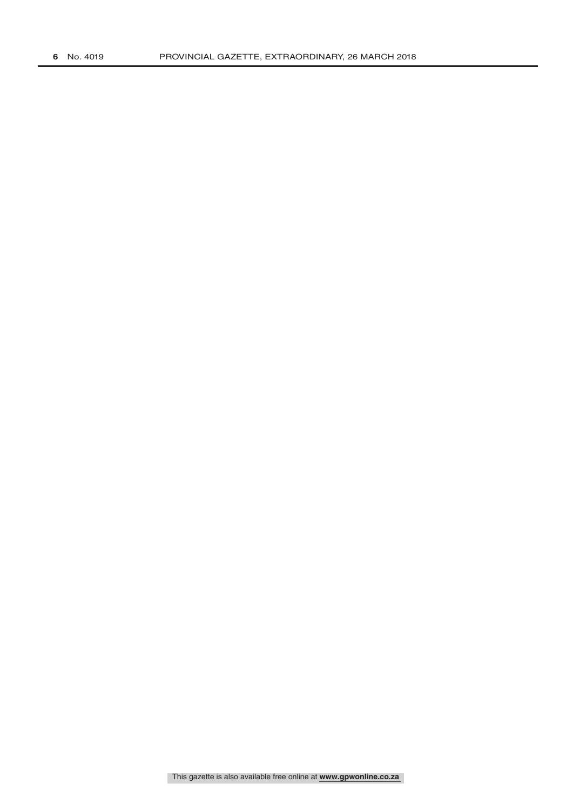This gazette is also available free online at **www.gpwonline.co.za**